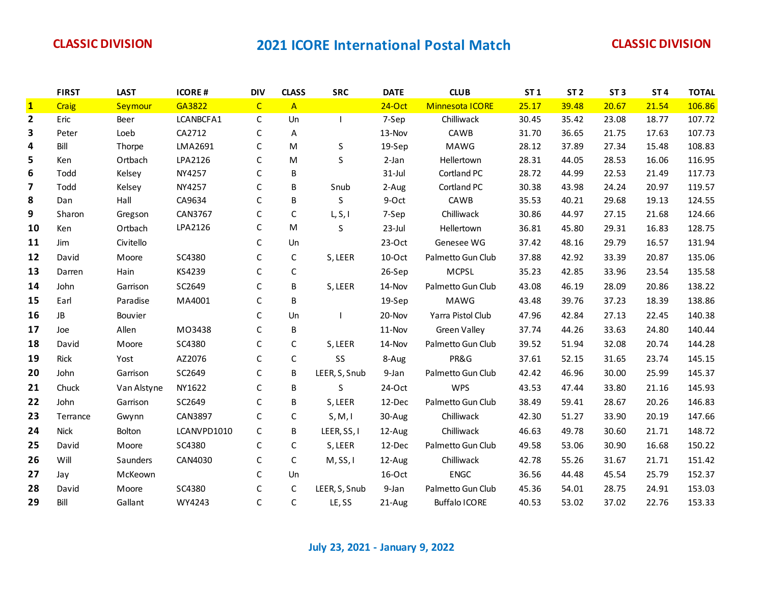|              | <b>FIRST</b> | <b>LAST</b> | <b>ICORE#</b> | <b>DIV</b>   | <b>CLASS</b> | <b>SRC</b>    | <b>DATE</b> | <b>CLUB</b>          | ST <sub>1</sub> | ST <sub>2</sub> | ST <sub>3</sub> | ST <sub>4</sub> | <b>TOTAL</b> |
|--------------|--------------|-------------|---------------|--------------|--------------|---------------|-------------|----------------------|-----------------|-----------------|-----------------|-----------------|--------------|
| $\mathbf{1}$ | Craig        | Seymour     | GA3822        | $\mathsf{C}$ | $\mathsf{A}$ |               | $24-Oct$    | Minnesota ICORE      | 25.17           | 39.48           | 20.67           | 21.54           | 106.86       |
| $\mathbf{2}$ | Eric         | Beer        | LCANBCFA1     | $\mathsf{C}$ | Un           |               | 7-Sep       | Chilliwack           | 30.45           | 35.42           | 23.08           | 18.77           | 107.72       |
| 3            | Peter        | Loeb        | CA2712        | $\mathsf C$  | A            |               | 13-Nov      | CAWB                 | 31.70           | 36.65           | 21.75           | 17.63           | 107.73       |
| 4            | Bill         | Thorpe      | LMA2691       | $\mathsf{C}$ | M            | S             | 19-Sep      | MAWG                 | 28.12           | 37.89           | 27.34           | 15.48           | 108.83       |
| 5            | Ken          | Ortbach     | LPA2126       | $\mathsf{C}$ | M            | S             | 2-Jan       | Hellertown           | 28.31           | 44.05           | 28.53           | 16.06           | 116.95       |
| 6            | Todd         | Kelsey      | NY4257        | C            | B            |               | $31$ -Jul   | Cortland PC          | 28.72           | 44.99           | 22.53           | 21.49           | 117.73       |
| 7            | Todd         | Kelsey      | NY4257        | C            | B            | Snub          | 2-Aug       | Cortland PC          | 30.38           | 43.98           | 24.24           | 20.97           | 119.57       |
| 8            | Dan          | Hall        | CA9634        | $\mathsf C$  | В            | S             | 9-Oct       | CAWB                 | 35.53           | 40.21           | 29.68           | 19.13           | 124.55       |
| 9            | Sharon       | Gregson     | CAN3767       | $\mathsf C$  | $\mathsf C$  | L, S, I       | 7-Sep       | Chilliwack           | 30.86           | 44.97           | 27.15           | 21.68           | 124.66       |
| 10           | Ken          | Ortbach     | LPA2126       | $\mathsf C$  | M            | S             | 23-Jul      | Hellertown           | 36.81           | 45.80           | 29.31           | 16.83           | 128.75       |
| 11           | Jim          | Civitello   |               | $\mathsf{C}$ | Un           |               | $23-Oct$    | Genesee WG           | 37.42           | 48.16           | 29.79           | 16.57           | 131.94       |
| 12           | David        | Moore       | SC4380        | $\mathsf{C}$ | C            | S, LEER       | 10-Oct      | Palmetto Gun Club    | 37.88           | 42.92           | 33.39           | 20.87           | 135.06       |
| 13           | Darren       | Hain        | KS4239        | $\mathsf C$  | $\mathsf C$  |               | 26-Sep      | <b>MCPSL</b>         | 35.23           | 42.85           | 33.96           | 23.54           | 135.58       |
| 14           | John         | Garrison    | SC2649        | $\mathsf C$  | B            | S, LEER       | 14-Nov      | Palmetto Gun Club    | 43.08           | 46.19           | 28.09           | 20.86           | 138.22       |
| 15           | Earl         | Paradise    | MA4001        | $\mathsf C$  | B            |               | 19-Sep      | MAWG                 | 43.48           | 39.76           | 37.23           | 18.39           | 138.86       |
| 16           | JB           | Bouvier     |               | $\mathsf{C}$ | Un           |               | 20-Nov      | Yarra Pistol Club    | 47.96           | 42.84           | 27.13           | 22.45           | 140.38       |
| 17           | Joe          | Allen       | M03438        | $\mathsf{C}$ | B            |               | 11-Nov      | Green Valley         | 37.74           | 44.26           | 33.63           | 24.80           | 140.44       |
| 18           | David        | Moore       | SC4380        | $\mathsf{C}$ | C            | S, LEER       | 14-Nov      | Palmetto Gun Club    | 39.52           | 51.94           | 32.08           | 20.74           | 144.28       |
| 19           | Rick         | Yost        | AZ2076        | $\mathsf C$  | $\mathsf{C}$ | SS            | 8-Aug       | PR&G                 | 37.61           | 52.15           | 31.65           | 23.74           | 145.15       |
| 20           | John         | Garrison    | SC2649        | $\mathsf{C}$ | B            | LEER, S, Snub | 9-Jan       | Palmetto Gun Club    | 42.42           | 46.96           | 30.00           | 25.99           | 145.37       |
| 21           | Chuck        | Van Alstyne | NY1622        | $\mathsf C$  | B            | S             | 24-Oct      | <b>WPS</b>           | 43.53           | 47.44           | 33.80           | 21.16           | 145.93       |
| 22           | John         | Garrison    | SC2649        | $\mathsf C$  | В            | S, LEER       | 12-Dec      | Palmetto Gun Club    | 38.49           | 59.41           | 28.67           | 20.26           | 146.83       |
| 23           | Terrance     | Gwynn       | CAN3897       | $\mathsf C$  | $\mathsf{C}$ | S, M, I       | 30-Aug      | Chilliwack           | 42.30           | 51.27           | 33.90           | 20.19           | 147.66       |
| 24           | <b>Nick</b>  | Bolton      | LCANVPD1010   | $\mathsf{C}$ | B            | LEER, SS, I   | 12-Aug      | Chilliwack           | 46.63           | 49.78           | 30.60           | 21.71           | 148.72       |
| 25           | David        | Moore       | SC4380        | C            | C            | S, LEER       | 12-Dec      | Palmetto Gun Club    | 49.58           | 53.06           | 30.90           | 16.68           | 150.22       |
| 26           | Will         | Saunders    | CAN4030       | $\mathsf{C}$ | C            | M, SS, I      | 12-Aug      | Chilliwack           | 42.78           | 55.26           | 31.67           | 21.71           | 151.42       |
| 27           | Jay          | McKeown     |               | $\mathsf{C}$ | Un           |               | 16-Oct      | <b>ENGC</b>          | 36.56           | 44.48           | 45.54           | 25.79           | 152.37       |
| 28           | David        | Moore       | SC4380        | $\mathsf C$  | C            | LEER, S, Snub | 9-Jan       | Palmetto Gun Club    | 45.36           | 54.01           | 28.75           | 24.91           | 153.03       |
| 29           | Bill         | Gallant     | WY4243        | C            | С            | LE, SS        | 21-Aug      | <b>Buffalo ICORE</b> | 40.53           | 53.02           | 37.02           | 22.76           | 153.33       |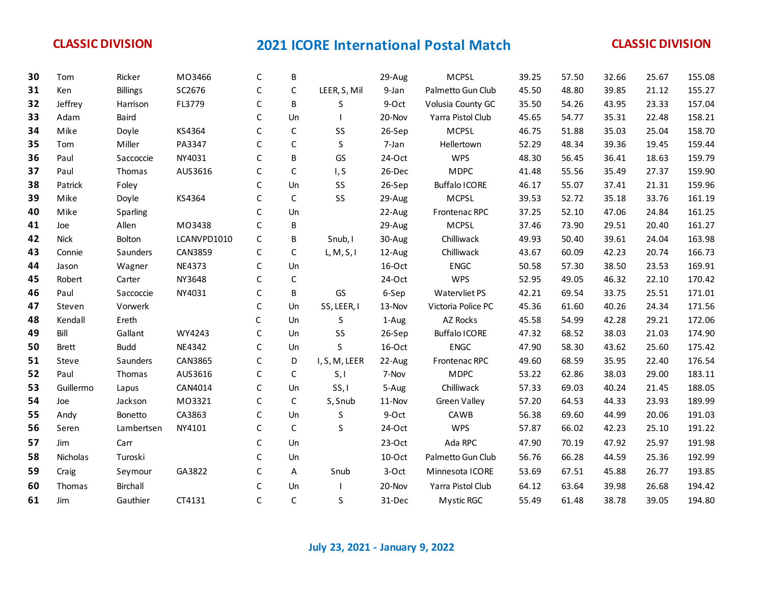| 30 | Tom          | Ricker          | MO3466      | C            | В            |               | 29-Aug   | <b>MCPSL</b>         | 39.25 | 57.50 | 32.66 | 25.67 | 155.08 |
|----|--------------|-----------------|-------------|--------------|--------------|---------------|----------|----------------------|-------|-------|-------|-------|--------|
| 31 | Ken          | <b>Billings</b> | SC2676      | $\mathsf C$  | $\mathsf{C}$ | LEER, S, Mil  | 9-Jan    | Palmetto Gun Club    | 45.50 | 48.80 | 39.85 | 21.12 | 155.27 |
| 32 | Jeffrey      | Harrison        | FL3779      | C            | B            | S             | 9-Oct    | Volusia County GC    | 35.50 | 54.26 | 43.95 | 23.33 | 157.04 |
| 33 | Adam         | Baird           |             | $\mathsf{C}$ | Un           |               | 20-Nov   | Yarra Pistol Club    | 45.65 | 54.77 | 35.31 | 22.48 | 158.21 |
| 34 | Mike         | Doyle           | KS4364      | C            | $\mathsf C$  | SS            | 26-Sep   | <b>MCPSL</b>         | 46.75 | 51.88 | 35.03 | 25.04 | 158.70 |
| 35 | Tom          | Miller          | PA3347      | C            | $\mathsf{C}$ | $\sf S$       | 7-Jan    | Hellertown           | 52.29 | 48.34 | 39.36 | 19.45 | 159.44 |
| 36 | Paul         | Saccoccie       | NY4031      | $\mathsf{C}$ | B            | GS            | 24-Oct   | <b>WPS</b>           | 48.30 | 56.45 | 36.41 | 18.63 | 159.79 |
| 37 | Paul         | Thomas          | AUS3616     | $\mathsf{C}$ | $\mathsf{C}$ | I, S          | 26-Dec   | <b>MDPC</b>          | 41.48 | 55.56 | 35.49 | 27.37 | 159.90 |
| 38 | Patrick      | Foley           |             | C            | Un           | SS            | 26-Sep   | <b>Buffalo ICORE</b> | 46.17 | 55.07 | 37.41 | 21.31 | 159.96 |
| 39 | Mike         | Doyle           | KS4364      | $\mathsf{C}$ | $\mathsf{C}$ | SS            | 29-Aug   | <b>MCPSL</b>         | 39.53 | 52.72 | 35.18 | 33.76 | 161.19 |
| 40 | Mike         | Sparling        |             | C            | Un           |               | 22-Aug   | Frontenac RPC        | 37.25 | 52.10 | 47.06 | 24.84 | 161.25 |
| 41 | Joe          | Allen           | MO3438      | $\mathsf{C}$ | B            |               | 29-Aug   | <b>MCPSL</b>         | 37.46 | 73.90 | 29.51 | 20.40 | 161.27 |
| 42 | <b>Nick</b>  | Bolton          | LCANVPD1010 | $\mathsf{C}$ | B            | Snub, I       | 30-Aug   | Chilliwack           | 49.93 | 50.40 | 39.61 | 24.04 | 163.98 |
| 43 | Connie       | Saunders        | CAN3859     | $\mathsf C$  | $\mathsf{C}$ | L, M, S, I    | 12-Aug   | Chilliwack           | 43.67 | 60.09 | 42.23 | 20.74 | 166.73 |
| 44 | Jason        | Wagner          | NE4373      | C            | Un           |               | 16-Oct   | <b>ENGC</b>          | 50.58 | 57.30 | 38.50 | 23.53 | 169.91 |
| 45 | Robert       | Carter          | NY3648      | C            | $\mathsf C$  |               | 24-Oct   | <b>WPS</b>           | 52.95 | 49.05 | 46.32 | 22.10 | 170.42 |
| 46 | Paul         | Saccoccie       | NY4031      | $\mathsf C$  | В            | GS            | 6-Sep    | Watervliet PS        | 42.21 | 69.54 | 33.75 | 25.51 | 171.01 |
| 47 | Steven       | Vorwerk         |             | C            | Un           | SS, LEER, I   | 13-Nov   | Victoria Police PC   | 45.36 | 61.60 | 40.26 | 24.34 | 171.56 |
| 48 | Kendall      | Ereth           |             | C            | Un           | S             | 1-Aug    | AZ Rocks             | 45.58 | 54.99 | 42.28 | 29.21 | 172.06 |
| 49 | Bill         | Gallant         | WY4243      | $\mathsf{C}$ | Un           | SS            | 26-Sep   | <b>Buffalo ICORE</b> | 47.32 | 68.52 | 38.03 | 21.03 | 174.90 |
| 50 | <b>Brett</b> | <b>Budd</b>     | NE4342      | $\mathsf C$  | Un           | S             | 16-Oct   | <b>ENGC</b>          | 47.90 | 58.30 | 43.62 | 25.60 | 175.42 |
| 51 | Steve        | Saunders        | CAN3865     | $\mathsf C$  | D            | I, S, M, LEER | 22-Aug   | Frontenac RPC        | 49.60 | 68.59 | 35.95 | 22.40 | 176.54 |
| 52 | Paul         | Thomas          | AUS3616     | $\mathsf{C}$ | $\mathsf{C}$ | S, I          | 7-Nov    | <b>MDPC</b>          | 53.22 | 62.86 | 38.03 | 29.00 | 183.11 |
| 53 | Guillermo    | Lapus           | CAN4014     | C            | Un           | SS, I         | 5-Aug    | Chilliwack           | 57.33 | 69.03 | 40.24 | 21.45 | 188.05 |
| 54 | Joe          | Jackson         | M03321      | $\mathsf{C}$ | C            | S, Snub       | 11-Nov   | Green Valley         | 57.20 | 64.53 | 44.33 | 23.93 | 189.99 |
| 55 | Andy         | Bonetto         | CA3863      | $\mathsf C$  | Un           | S             | 9-Oct    | CAWB                 | 56.38 | 69.60 | 44.99 | 20.06 | 191.03 |
| 56 | Seren        | Lambertsen      | NY4101      | C            | $\mathsf{C}$ | S             | 24-Oct   | <b>WPS</b>           | 57.87 | 66.02 | 42.23 | 25.10 | 191.22 |
| 57 | Jim          | Carr            |             | $\mathsf{C}$ | Un           |               | $23-Oct$ | Ada RPC              | 47.90 | 70.19 | 47.92 | 25.97 | 191.98 |
| 58 | Nicholas     | Turoski         |             | C            | Un           |               | 10-Oct   | Palmetto Gun Club    | 56.76 | 66.28 | 44.59 | 25.36 | 192.99 |
| 59 | Craig        | Seymour         | GA3822      | C            | A            | Snub          | 3-Oct    | Minnesota ICORE      | 53.69 | 67.51 | 45.88 | 26.77 | 193.85 |
| 60 | Thomas       | Birchall        |             | C            | Un           |               | 20-Nov   | Yarra Pistol Club    | 64.12 | 63.64 | 39.98 | 26.68 | 194.42 |
| 61 | Jim          | Gauthier        | CT4131      | $\mathsf{C}$ | $\mathsf{C}$ | S             | 31-Dec   | <b>Mystic RGC</b>    | 55.49 | 61.48 | 38.78 | 39.05 | 194.80 |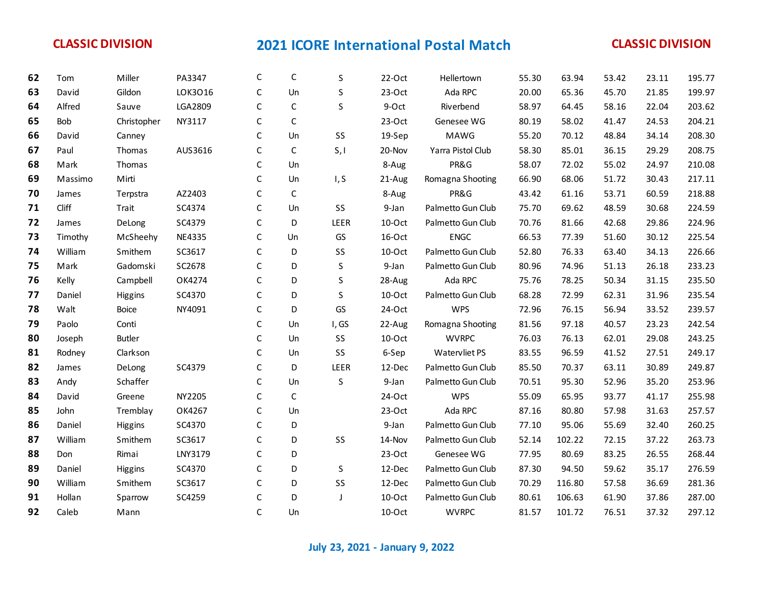| 62 | Tom        | Miller        | PA3347  | C            | C            | S       | $22-Oct$  | Hellertown        | 55.30 | 63.94  | 53.42 | 23.11 | 195.77 |
|----|------------|---------------|---------|--------------|--------------|---------|-----------|-------------------|-------|--------|-------|-------|--------|
| 63 | David      | Gildon        | LOK3016 | C            | Un           | S       | $23-Oct$  | Ada RPC           | 20.00 | 65.36  | 45.70 | 21.85 | 199.97 |
| 64 | Alfred     | Sauve         | LGA2809 | $\mathsf C$  | $\mathsf{C}$ | S       | 9-Oct     | Riverbend         | 58.97 | 64.45  | 58.16 | 22.04 | 203.62 |
| 65 | <b>Bob</b> | Christopher   | NY3117  | C            | $\mathsf{C}$ |         | $23-Oct$  | Genesee WG        | 80.19 | 58.02  | 41.47 | 24.53 | 204.21 |
| 66 | David      | Canney        |         | $\mathsf C$  | Un           | SS      | 19-Sep    | MAWG              | 55.20 | 70.12  | 48.84 | 34.14 | 208.30 |
| 67 | Paul       | Thomas        | AUS3616 | $\mathsf C$  | $\mathsf C$  | S, I    | 20-Nov    | Yarra Pistol Club | 58.30 | 85.01  | 36.15 | 29.29 | 208.75 |
| 68 | Mark       | Thomas        |         | C            | Un           |         | 8-Aug     | PR&G              | 58.07 | 72.02  | 55.02 | 24.97 | 210.08 |
| 69 | Massimo    | Mirti         |         | $\mathsf C$  | Un           | I, S    | 21-Aug    | Romagna Shooting  | 66.90 | 68.06  | 51.72 | 30.43 | 217.11 |
| 70 | James      | Terpstra      | AZ2403  | C            | $\mathsf C$  |         | 8-Aug     | PR&G              | 43.42 | 61.16  | 53.71 | 60.59 | 218.88 |
| 71 | Cliff      | Trait         | SC4374  | C            | Un           | SS      | 9-Jan     | Palmetto Gun Club | 75.70 | 69.62  | 48.59 | 30.68 | 224.59 |
| 72 | James      | DeLong        | SC4379  | $\mathsf C$  | D            | LEER    | $10$ -Oct | Palmetto Gun Club | 70.76 | 81.66  | 42.68 | 29.86 | 224.96 |
| 73 | Timothy    | McSheehy      | NE4335  | $\mathsf C$  | Un           | GS      | 16-Oct    | <b>ENGC</b>       | 66.53 | 77.39  | 51.60 | 30.12 | 225.54 |
| 74 | William    | Smithem       | SC3617  | C            | D            | SS      | $10$ -Oct | Palmetto Gun Club | 52.80 | 76.33  | 63.40 | 34.13 | 226.66 |
| 75 | Mark       | Gadomski      | SC2678  | $\mathsf C$  | D            | $\sf S$ | 9-Jan     | Palmetto Gun Club | 80.96 | 74.96  | 51.13 | 26.18 | 233.23 |
| 76 | Kelly      | Campbell      | OK4274  | $\mathsf C$  | D            | S       | 28-Aug    | Ada RPC           | 75.76 | 78.25  | 50.34 | 31.15 | 235.50 |
| 77 | Daniel     | Higgins       | SC4370  | C            | D            | S       | 10-Oct    | Palmetto Gun Club | 68.28 | 72.99  | 62.31 | 31.96 | 235.54 |
| 78 | Walt       | <b>Boice</b>  | NY4091  | $\mathsf C$  | D            | GS      | 24-Oct    | <b>WPS</b>        | 72.96 | 76.15  | 56.94 | 33.52 | 239.57 |
| 79 | Paolo      | Conti         |         | C            | Un           | I, GS   | 22-Aug    | Romagna Shooting  | 81.56 | 97.18  | 40.57 | 23.23 | 242.54 |
| 80 | Joseph     | <b>Butler</b> |         | C            | Un           | SS      | 10-Oct    | <b>WVRPC</b>      | 76.03 | 76.13  | 62.01 | 29.08 | 243.25 |
| 81 | Rodney     | Clarkson      |         | $\mathsf C$  | Un           | SS      | 6-Sep     | Watervliet PS     | 83.55 | 96.59  | 41.52 | 27.51 | 249.17 |
| 82 | James      | DeLong        | SC4379  | C            | D            | LEER    | 12-Dec    | Palmetto Gun Club | 85.50 | 70.37  | 63.11 | 30.89 | 249.87 |
| 83 | Andy       | Schaffer      |         | C            | Un           | S       | 9-Jan     | Palmetto Gun Club | 70.51 | 95.30  | 52.96 | 35.20 | 253.96 |
| 84 | David      | Greene        | NY2205  | $\mathsf C$  | $\mathsf C$  |         | 24-Oct    | <b>WPS</b>        | 55.09 | 65.95  | 93.77 | 41.17 | 255.98 |
| 85 | John       | Tremblay      | OK4267  | $\mathsf C$  | Un           |         | $23-Oct$  | Ada RPC           | 87.16 | 80.80  | 57.98 | 31.63 | 257.57 |
| 86 | Daniel     | Higgins       | SC4370  | C            | D            |         | 9-Jan     | Palmetto Gun Club | 77.10 | 95.06  | 55.69 | 32.40 | 260.25 |
| 87 | William    | Smithem       | SC3617  | $\mathsf C$  | D            | SS      | 14-Nov    | Palmetto Gun Club | 52.14 | 102.22 | 72.15 | 37.22 | 263.73 |
| 88 | Don        | Rimai         | LNY3179 | $\mathsf C$  | D            |         | 23-Oct    | Genesee WG        | 77.95 | 80.69  | 83.25 | 26.55 | 268.44 |
| 89 | Daniel     | Higgins       | SC4370  | C            | D            | S       | 12-Dec    | Palmetto Gun Club | 87.30 | 94.50  | 59.62 | 35.17 | 276.59 |
| 90 | William    | Smithem       | SC3617  | C            | D            | SS      | 12-Dec    | Palmetto Gun Club | 70.29 | 116.80 | 57.58 | 36.69 | 281.36 |
| 91 | Hollan     | Sparrow       | SC4259  | C            | D            | J       | 10-Oct    | Palmetto Gun Club | 80.61 | 106.63 | 61.90 | 37.86 | 287.00 |
| 92 | Caleb      | Mann          |         | $\mathsf{C}$ | Un           |         | 10-Oct    | <b>WVRPC</b>      | 81.57 | 101.72 | 76.51 | 37.32 | 297.12 |